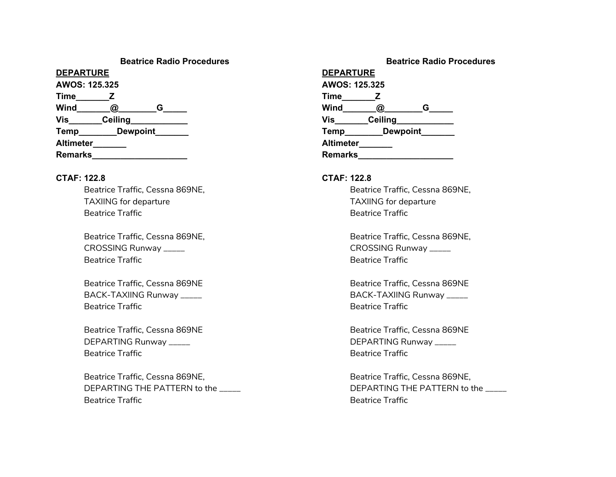# **Beatrice Radio Procedures**

**DEPARTURE AWOS: 125.325 Time\_\_\_\_\_\_\_Z Wind\_\_\_\_\_\_\_\_@\_\_\_\_\_\_\_\_\_\_G\_\_\_\_\_\_ Vis** Ceiling **Temp** Dewpoint **Altimeter\_\_\_\_\_\_\_ Remarks** 

### **CTAF: 122.8**

Beatrice Traffic, Cessna 869NE, TAXIING for departure Beatrice Traffic

Beatrice Traffic, Cessna 869NE, CROSSING Runway \_\_\_\_\_ Beatrice Traffic

Beatrice Traffic, Cessna 869NE BACK-TAXIING Runway \_\_\_\_\_ Beatrice Traffic

Beatrice Traffic, Cessna 869NE DEPARTING Runway \_\_\_\_\_ Beatrice Traffic

Beatrice Traffic, Cessna 869NE, DEPARTING THE PATTERN to the Beatrice Traffic

|                  |                 |   | <b>Beatrice Radio Procedures</b> |  |
|------------------|-----------------|---|----------------------------------|--|
| <b>DEPARTURE</b> |                 |   |                                  |  |
| AWOS: 125.325    |                 |   |                                  |  |
| Time             | z               |   |                                  |  |
| Wind             | @               | G |                                  |  |
| Vis              | <b>Ceiling</b>  |   |                                  |  |
| Temp             | <b>Dewpoint</b> |   |                                  |  |
| <b>Altimeter</b> |                 |   |                                  |  |
| <b>Remarks</b>   |                 |   |                                  |  |

## **CTAF: 122.8**

Beatrice Traffic, Cessna 869NE, TAXIING for departure Beatrice Traffic

Beatrice Traffic, Cessna 869NE, CROSSING Runway \_\_\_\_\_ Beatrice Traffic

Beatrice Traffic, Cessna 869NE BACK-TAXIING Runway \_\_\_\_\_ Beatrice Traffic

Beatrice Traffic, Cessna 869NE DEPARTING Runway \_\_\_\_\_ Beatrice Traffic

Beatrice Traffic, Cessna 869NE, DEPARTING THE PATTERN to the Beatrice Traffic